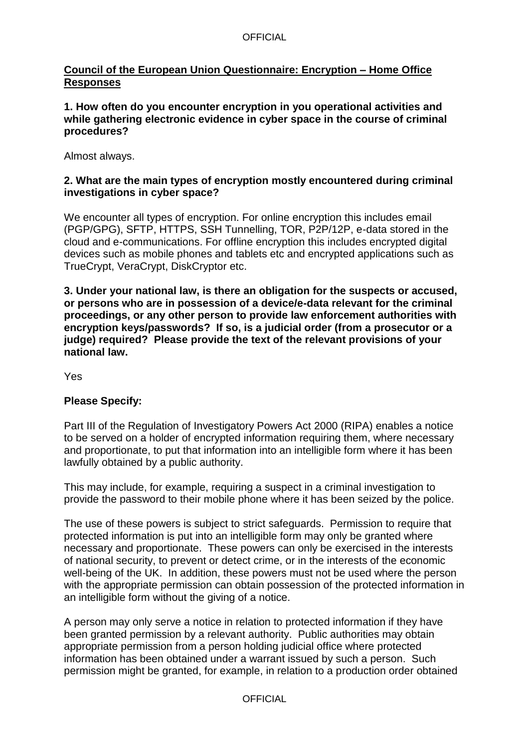### **OFFICIAL**

## **Council of the European Union Questionnaire: Encryption – Home Office Responses**

**1. How often do you encounter encryption in you operational activities and while gathering electronic evidence in cyber space in the course of criminal procedures?**

Almost always.

## **2. What are the main types of encryption mostly encountered during criminal investigations in cyber space?**

We encounter all types of encryption. For online encryption this includes email (PGP/GPG), SFTP, HTTPS, SSH Tunnelling, TOR, P2P/12P, e-data stored in the cloud and e-communications. For offline encryption this includes encrypted digital devices such as mobile phones and tablets etc and encrypted applications such as TrueCrypt, VeraCrypt, DiskCryptor etc.

**3. Under your national law, is there an obligation for the suspects or accused, or persons who are in possession of a device/e-data relevant for the criminal proceedings, or any other person to provide law enforcement authorities with encryption keys/passwords? If so, is a judicial order (from a prosecutor or a judge) required? Please provide the text of the relevant provisions of your national law.**

Yes

## **Please Specify:**

Part III of the Regulation of Investigatory Powers Act 2000 (RIPA) enables a notice to be served on a holder of encrypted information requiring them, where necessary and proportionate, to put that information into an intelligible form where it has been lawfully obtained by a public authority.

This may include, for example, requiring a suspect in a criminal investigation to provide the password to their mobile phone where it has been seized by the police.

The use of these powers is subject to strict safeguards. Permission to require that protected information is put into an intelligible form may only be granted where necessary and proportionate. These powers can only be exercised in the interests of national security, to prevent or detect crime, or in the interests of the economic well-being of the UK. In addition, these powers must not be used where the person with the appropriate permission can obtain possession of the protected information in an intelligible form without the giving of a notice.

A person may only serve a notice in relation to protected information if they have been granted permission by a relevant authority. Public authorities may obtain appropriate permission from a person holding judicial office where protected information has been obtained under a warrant issued by such a person. Such permission might be granted, for example, in relation to a production order obtained

**OFFICIAL**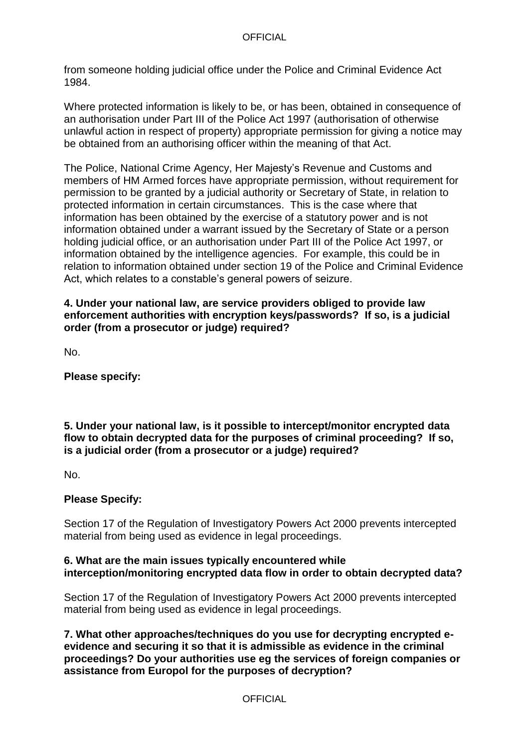#### **OFFICIAL**

from someone holding judicial office under the Police and Criminal Evidence Act 1984.

Where protected information is likely to be, or has been, obtained in consequence of an authorisation under Part III of the Police Act 1997 (authorisation of otherwise unlawful action in respect of property) appropriate permission for giving a notice may be obtained from an authorising officer within the meaning of that Act.

The Police, National Crime Agency, Her Majesty's Revenue and Customs and members of HM Armed forces have appropriate permission, without requirement for permission to be granted by a judicial authority or Secretary of State, in relation to protected information in certain circumstances. This is the case where that information has been obtained by the exercise of a statutory power and is not information obtained under a warrant issued by the Secretary of State or a person holding judicial office, or an authorisation under Part III of the Police Act 1997, or information obtained by the intelligence agencies. For example, this could be in relation to information obtained under section 19 of the Police and Criminal Evidence Act, which relates to a constable's general powers of seizure.

#### **4. Under your national law, are service providers obliged to provide law enforcement authorities with encryption keys/passwords? If so, is a judicial order (from a prosecutor or judge) required?**

No.

**Please specify:**

## **5. Under your national law, is it possible to intercept/monitor encrypted data flow to obtain decrypted data for the purposes of criminal proceeding? If so, is a judicial order (from a prosecutor or a judge) required?**

No.

## **Please Specify:**

Section 17 of the Regulation of Investigatory Powers Act 2000 prevents intercepted material from being used as evidence in legal proceedings.

## **6. What are the main issues typically encountered while interception/monitoring encrypted data flow in order to obtain decrypted data?**

Section 17 of the Regulation of Investigatory Powers Act 2000 prevents intercepted material from being used as evidence in legal proceedings.

**7. What other approaches/techniques do you use for decrypting encrypted eevidence and securing it so that it is admissible as evidence in the criminal proceedings? Do your authorities use eg the services of foreign companies or assistance from Europol for the purposes of decryption?**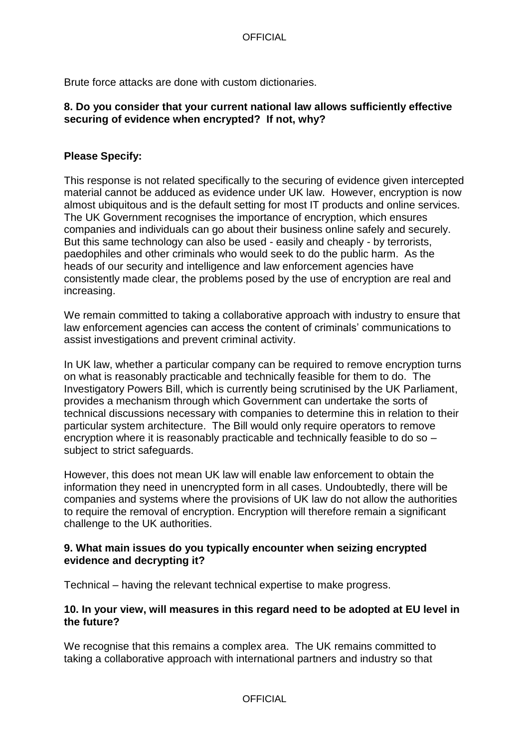Brute force attacks are done with custom dictionaries.

## **8. Do you consider that your current national law allows sufficiently effective securing of evidence when encrypted? If not, why?**

# **Please Specify:**

This response is not related specifically to the securing of evidence given intercepted material cannot be adduced as evidence under UK law. However, encryption is now almost ubiquitous and is the default setting for most IT products and online services. The UK Government recognises the importance of encryption, which ensures companies and individuals can go about their business online safely and securely. But this same technology can also be used - easily and cheaply - by terrorists, paedophiles and other criminals who would seek to do the public harm. As the heads of our security and intelligence and law enforcement agencies have consistently made clear, the problems posed by the use of encryption are real and increasing.

We remain committed to taking a collaborative approach with industry to ensure that law enforcement agencies can access the content of criminals' communications to assist investigations and prevent criminal activity.

In UK law, whether a particular company can be required to remove encryption turns on what is reasonably practicable and technically feasible for them to do. The Investigatory Powers Bill, which is currently being scrutinised by the UK Parliament, provides a mechanism through which Government can undertake the sorts of technical discussions necessary with companies to determine this in relation to their particular system architecture. The Bill would only require operators to remove encryption where it is reasonably practicable and technically feasible to do so – subject to strict safeguards.

However, this does not mean UK law will enable law enforcement to obtain the information they need in unencrypted form in all cases. Undoubtedly, there will be companies and systems where the provisions of UK law do not allow the authorities to require the removal of encryption. Encryption will therefore remain a significant challenge to the UK authorities.

## **9. What main issues do you typically encounter when seizing encrypted evidence and decrypting it?**

Technical – having the relevant technical expertise to make progress.

## **10. In your view, will measures in this regard need to be adopted at EU level in the future?**

We recognise that this remains a complex area. The UK remains committed to taking a collaborative approach with international partners and industry so that